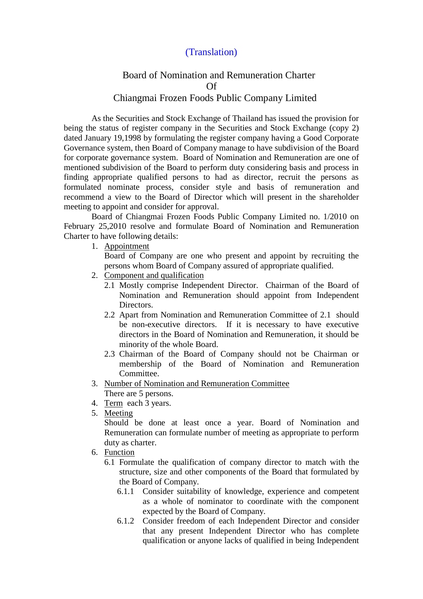## (Translation)

## Board of Nomination and Remuneration Charter Of Chiangmai Frozen Foods Public Company Limited

 As the Securities and Stock Exchange of Thailand has issued the provision for being the status of register company in the Securities and Stock Exchange (copy 2) dated January 19,1998 by formulating the register company having a Good Corporate Governance system, then Board of Company manage to have subdivision of the Board for corporate governance system. Board of Nomination and Remuneration are one of mentioned subdivision of the Board to perform duty considering basis and process in finding appropriate qualified persons to had as director, recruit the persons as formulated nominate process, consider style and basis of remuneration and recommend a view to the Board of Director which will present in the shareholder meeting to appoint and consider for approval.

 Board of Chiangmai Frozen Foods Public Company Limited no. 1/2010 on February 25,2010 resolve and formulate Board of Nomination and Remuneration Charter to have following details:

1. Appointment

Board of Company are one who present and appoint by recruiting the persons whom Board of Company assured of appropriate qualified.

- 2. Component and qualification
	- 2.1 Mostly comprise Independent Director. Chairman of the Board of Nomination and Remuneration should appoint from Independent Directors.
	- 2.2 Apart from Nomination and Remuneration Committee of 2.1 should be non-executive directors. If it is necessary to have executive directors in the Board of Nomination and Remuneration, it should be minority of the whole Board.
	- 2.3 Chairman of the Board of Company should not be Chairman or membership of the Board of Nomination and Remuneration Committee.
- 3. Number of Nomination and Remuneration Committee There are 5 persons.
- 4. Term each 3 years.
- 5. Meeting

Should be done at least once a year. Board of Nomination and Remuneration can formulate number of meeting as appropriate to perform duty as charter.

- 6. Function
	- 6.1 Formulate the qualification of company director to match with the structure, size and other components of the Board that formulated by the Board of Company.
		- 6.1.1 Consider suitability of knowledge, experience and competent as a whole of nominator to coordinate with the component expected by the Board of Company.
		- 6.1.2 Consider freedom of each Independent Director and consider that any present Independent Director who has complete qualification or anyone lacks of qualified in being Independent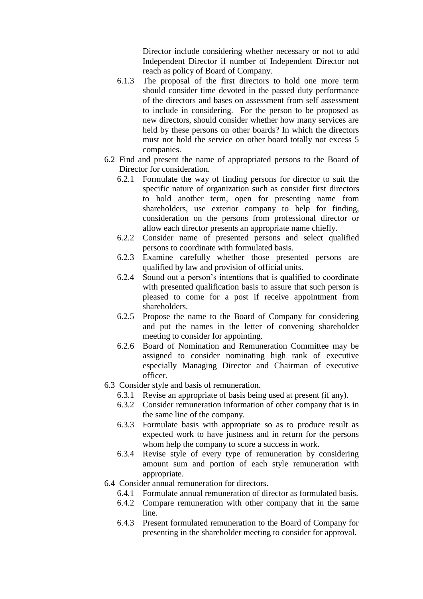Director include considering whether necessary or not to add Independent Director if number of Independent Director not reach as policy of Board of Company.

- 6.1.3 The proposal of the first directors to hold one more term should consider time devoted in the passed duty performance of the directors and bases on assessment from self assessment to include in considering. For the person to be proposed as new directors, should consider whether how many services are held by these persons on other boards? In which the directors must not hold the service on other board totally not excess 5 companies.
- 6.2 Find and present the name of appropriated persons to the Board of Director for consideration.
	- 6.2.1 Formulate the way of finding persons for director to suit the specific nature of organization such as consider first directors to hold another term, open for presenting name from shareholders, use exterior company to help for finding, consideration on the persons from professional director or allow each director presents an appropriate name chiefly.
	- 6.2.2 Consider name of presented persons and select qualified persons to coordinate with formulated basis.
	- 6.2.3 Examine carefully whether those presented persons are qualified by law and provision of official units.
	- 6.2.4 Sound out a person's intentions that is qualified to coordinate with presented qualification basis to assure that such person is pleased to come for a post if receive appointment from shareholders.
	- 6.2.5 Propose the name to the Board of Company for considering and put the names in the letter of convening shareholder meeting to consider for appointing.
	- 6.2.6 Board of Nomination and Remuneration Committee may be assigned to consider nominating high rank of executive especially Managing Director and Chairman of executive officer.
- 6.3 Consider style and basis of remuneration.
	- 6.3.1 Revise an appropriate of basis being used at present (if any).
	- 6.3.2 Consider remuneration information of other company that is in the same line of the company.
	- 6.3.3 Formulate basis with appropriate so as to produce result as expected work to have justness and in return for the persons whom help the company to score a success in work.
	- 6.3.4 Revise style of every type of remuneration by considering amount sum and portion of each style remuneration with appropriate.
- 6.4 Consider annual remuneration for directors.
	- 6.4.1 Formulate annual remuneration of director as formulated basis.
	- 6.4.2 Compare remuneration with other company that in the same line.
	- 6.4.3 Present formulated remuneration to the Board of Company for presenting in the shareholder meeting to consider for approval.